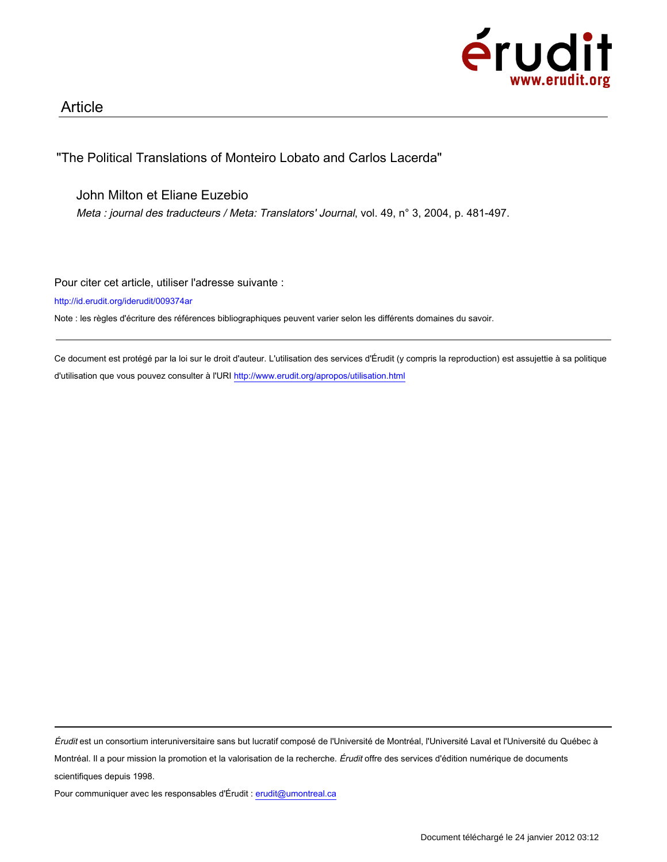

# Article

# "The Political Translations of Monteiro Lobato and Carlos Lacerda"

# John Milton et Eliane Euzebio

Meta : journal des traducteurs / Meta: Translators' Journal, vol. 49, n° 3, 2004, p. 481-497.

Pour citer cet article, utiliser l'adresse suivante :

http://id.erudit.org/iderudit/009374ar

Note : les règles d'écriture des références bibliographiques peuvent varier selon les différents domaines du savoir.

Ce document est protégé par la loi sur le droit d'auteur. L'utilisation des services d'Érudit (y compris la reproduction) est assujettie à sa politique d'utilisation que vous pouvez consulter à l'URI http://www.erudit.org/apropos/utilisation.html

Érudit est un consortium interuniversitaire sans but lucratif composé de l'Université de Montréal, l'Université Laval et l'Université du Québec à Montréal. Il a pour mission la promotion et la valorisation de la recherche. Érudit offre des services d'édition numérique de documents scientifiques depuis 1998.

Pour communiquer avec les responsables d'Érudit : erudit@umontreal.ca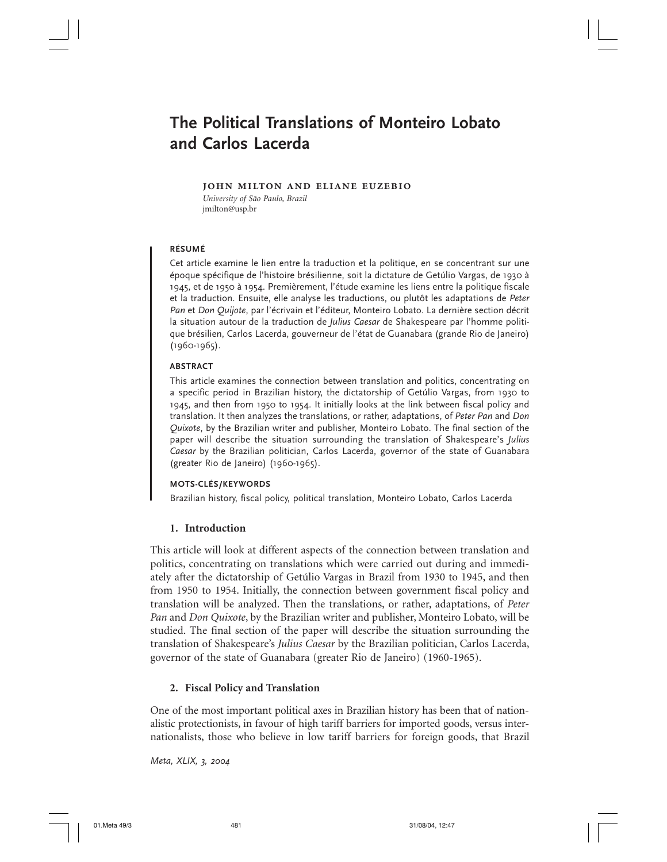# **The Political Translations of Monteiro Lobato and Carlos Lacerda**

#### **john milton and eliane euzebio**

*University of São Paulo, Brazil* jmilton@usp.br

#### **RÉSUMÉ**

Cet article examine le lien entre la traduction et la politique, en se concentrant sur une époque spécifique de l'histoire brésilienne, soit la dictature de Getúlio Vargas, de 1930 à 1945, et de 1950 à 1954. Premièrement, l'étude examine les liens entre la politique fiscale et la traduction. Ensuite, elle analyse les traductions, ou plutôt les adaptations de *Peter Pan* et *Don Quijote*, par l'écrivain et l'éditeur, Monteiro Lobato. La dernière section décrit la situation autour de la traduction de *Julius Caesar* de Shakespeare par l'homme politique brésilien, Carlos Lacerda, gouverneur de l'état de Guanabara (grande Rio de Janeiro) (1960-1965).

## **ABSTRACT**

This article examines the connection between translation and politics, concentrating on a specific period in Brazilian history, the dictatorship of Getúlio Vargas, from 1930 to 1945, and then from 1950 to 1954. It initially looks at the link between fiscal policy and translation. It then analyzes the translations, or rather, adaptations, of *Peter Pan* and *Don Quixote*, by the Brazilian writer and publisher, Monteiro Lobato. The final section of the paper will describe the situation surrounding the translation of Shakespeare's *Julius Caesar* by the Brazilian politician, Carlos Lacerda, governor of the state of Guanabara (greater Rio de Janeiro) (1960-1965).

#### **MOTS-CLÉS/KEYWORDS**

Brazilian history, fiscal policy, political translation, Monteiro Lobato, Carlos Lacerda

# **1. Introduction**

This article will look at different aspects of the connection between translation and politics, concentrating on translations which were carried out during and immediately after the dictatorship of Getúlio Vargas in Brazil from 1930 to 1945, and then from 1950 to 1954. Initially, the connection between government fiscal policy and translation will be analyzed. Then the translations, or rather, adaptations, of *Peter Pan* and *Don Quixote*, by the Brazilian writer and publisher, Monteiro Lobato, will be studied. The final section of the paper will describe the situation surrounding the translation of Shakespeare's *Julius Caesar* by the Brazilian politician, Carlos Lacerda, governor of the state of Guanabara (greater Rio de Janeiro) (1960-1965).

# **2. Fiscal Policy and Translation**

One of the most important political axes in Brazilian history has been that of nationalistic protectionists, in favour of high tariff barriers for imported goods, versus internationalists, those who believe in low tariff barriers for foreign goods, that Brazil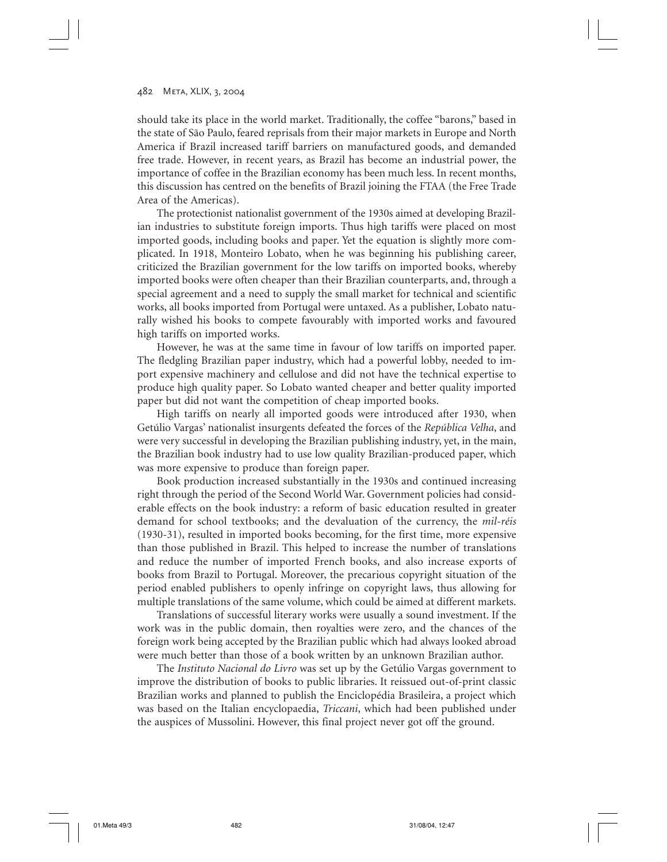should take its place in the world market. Traditionally, the coffee "barons," based in the state of São Paulo, feared reprisals from their major markets in Europe and North America if Brazil increased tariff barriers on manufactured goods, and demanded free trade. However, in recent years, as Brazil has become an industrial power, the importance of coffee in the Brazilian economy has been much less. In recent months, this discussion has centred on the benefits of Brazil joining the FTAA (the Free Trade Area of the Americas).

The protectionist nationalist government of the 1930s aimed at developing Brazilian industries to substitute foreign imports. Thus high tariffs were placed on most imported goods, including books and paper. Yet the equation is slightly more complicated. In 1918, Monteiro Lobato, when he was beginning his publishing career, criticized the Brazilian government for the low tariffs on imported books, whereby imported books were often cheaper than their Brazilian counterparts, and, through a special agreement and a need to supply the small market for technical and scientific works, all books imported from Portugal were untaxed. As a publisher, Lobato naturally wished his books to compete favourably with imported works and favoured high tariffs on imported works.

However, he was at the same time in favour of low tariffs on imported paper. The fledgling Brazilian paper industry, which had a powerful lobby, needed to import expensive machinery and cellulose and did not have the technical expertise to produce high quality paper. So Lobato wanted cheaper and better quality imported paper but did not want the competition of cheap imported books.

High tariffs on nearly all imported goods were introduced after 1930, when Getúlio Vargas' nationalist insurgents defeated the forces of the *República Velha*, and were very successful in developing the Brazilian publishing industry, yet, in the main, the Brazilian book industry had to use low quality Brazilian-produced paper, which was more expensive to produce than foreign paper.

Book production increased substantially in the 1930s and continued increasing right through the period of the Second World War. Government policies had considerable effects on the book industry: a reform of basic education resulted in greater demand for school textbooks; and the devaluation of the currency, the *mil-réis* (1930-31), resulted in imported books becoming, for the first time, more expensive than those published in Brazil. This helped to increase the number of translations and reduce the number of imported French books, and also increase exports of books from Brazil to Portugal. Moreover, the precarious copyright situation of the period enabled publishers to openly infringe on copyright laws, thus allowing for multiple translations of the same volume, which could be aimed at different markets.

Translations of successful literary works were usually a sound investment. If the work was in the public domain, then royalties were zero, and the chances of the foreign work being accepted by the Brazilian public which had always looked abroad were much better than those of a book written by an unknown Brazilian author.

The *Instituto Nacional do Livro* was set up by the Getúlio Vargas government to improve the distribution of books to public libraries. It reissued out-of-print classic Brazilian works and planned to publish the Enciclopédia Brasileira, a project which was based on the Italian encyclopaedia, *Triccani*, which had been published under the auspices of Mussolini. However, this final project never got off the ground.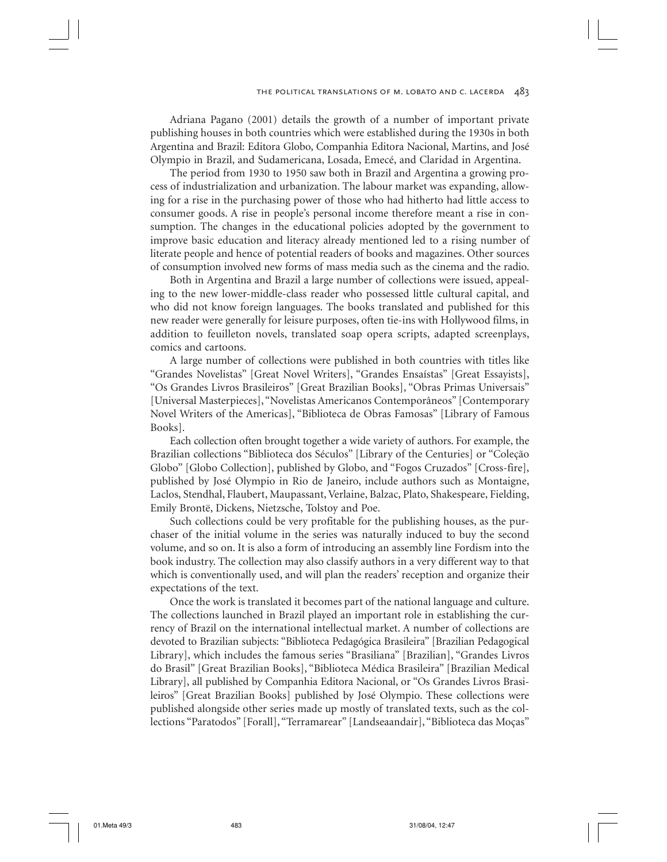Adriana Pagano (2001) details the growth of a number of important private publishing houses in both countries which were established during the 1930s in both Argentina and Brazil: Editora Globo, Companhia Editora Nacional, Martins, and José Olympio in Brazil, and Sudamericana, Losada, Emecé, and Claridad in Argentina.

The period from 1930 to 1950 saw both in Brazil and Argentina a growing process of industrialization and urbanization. The labour market was expanding, allowing for a rise in the purchasing power of those who had hitherto had little access to consumer goods. A rise in people's personal income therefore meant a rise in consumption. The changes in the educational policies adopted by the government to improve basic education and literacy already mentioned led to a rising number of literate people and hence of potential readers of books and magazines. Other sources of consumption involved new forms of mass media such as the cinema and the radio.

Both in Argentina and Brazil a large number of collections were issued, appealing to the new lower-middle-class reader who possessed little cultural capital, and who did not know foreign languages. The books translated and published for this new reader were generally for leisure purposes, often tie-ins with Hollywood films, in addition to feuilleton novels, translated soap opera scripts, adapted screenplays, comics and cartoons.

A large number of collections were published in both countries with titles like "Grandes Novelistas" [Great Novel Writers], "Grandes Ensaístas" [Great Essayists], "Os Grandes Livros Brasileiros" [Great Brazilian Books], "Obras Primas Universais" [Universal Masterpieces], "Novelistas Americanos Contemporâneos" [Contemporary Novel Writers of the Americas], "Biblioteca de Obras Famosas" [Library of Famous Books].

Each collection often brought together a wide variety of authors. For example, the Brazilian collections "Biblioteca dos Séculos" [Library of the Centuries] or "Coleção Globo" [Globo Collection], published by Globo, and "Fogos Cruzados" [Cross-fire], published by José Olympio in Rio de Janeiro, include authors such as Montaigne, Laclos, Stendhal, Flaubert, Maupassant, Verlaine, Balzac, Plato, Shakespeare, Fielding, Emily Brontë, Dickens, Nietzsche, Tolstoy and Poe.

Such collections could be very profitable for the publishing houses, as the purchaser of the initial volume in the series was naturally induced to buy the second volume, and so on. It is also a form of introducing an assembly line Fordism into the book industry. The collection may also classify authors in a very different way to that which is conventionally used, and will plan the readers' reception and organize their expectations of the text.

Once the work is translated it becomes part of the national language and culture. The collections launched in Brazil played an important role in establishing the currency of Brazil on the international intellectual market. A number of collections are devoted to Brazilian subjects: "Biblioteca Pedagógica Brasileira" [Brazilian Pedagogical Library], which includes the famous series "Brasiliana" [Brazilian], "Grandes Livros do Brasil" [Great Brazilian Books], "Biblioteca Médica Brasileira" [Brazilian Medical Library], all published by Companhia Editora Nacional, or "Os Grandes Livros Brasileiros" [Great Brazilian Books] published by José Olympio. These collections were published alongside other series made up mostly of translated texts, such as the collections "Paratodos" [Forall], "Terramarear" [Landseaandair], "Biblioteca das Moças"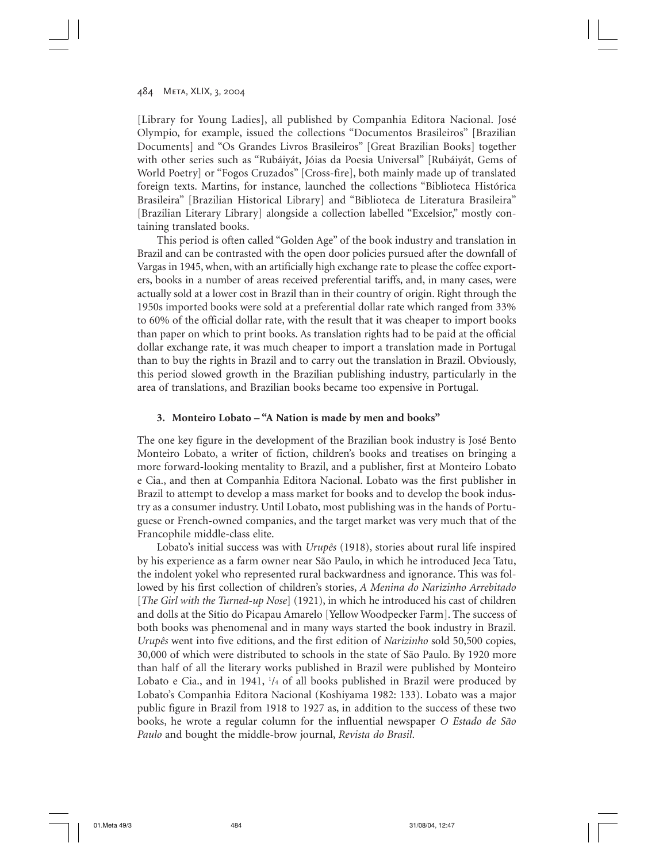[Library for Young Ladies], all published by Companhia Editora Nacional. José Olympio, for example, issued the collections "Documentos Brasileiros" [Brazilian Documents] and "Os Grandes Livros Brasileiros" [Great Brazilian Books] together with other series such as "Rubáiyát, Jóias da Poesia Universal" [Rubáiyát, Gems of World Poetry] or "Fogos Cruzados" [Cross-fire], both mainly made up of translated foreign texts. Martins, for instance, launched the collections "Biblioteca Histórica Brasileira" [Brazilian Historical Library] and "Biblioteca de Literatura Brasileira" [Brazilian Literary Library] alongside a collection labelled "Excelsior," mostly containing translated books.

This period is often called "Golden Age" of the book industry and translation in Brazil and can be contrasted with the open door policies pursued after the downfall of Vargas in 1945, when, with an artificially high exchange rate to please the coffee exporters, books in a number of areas received preferential tariffs, and, in many cases, were actually sold at a lower cost in Brazil than in their country of origin. Right through the 1950s imported books were sold at a preferential dollar rate which ranged from 33% to 60% of the official dollar rate, with the result that it was cheaper to import books than paper on which to print books. As translation rights had to be paid at the official dollar exchange rate, it was much cheaper to import a translation made in Portugal than to buy the rights in Brazil and to carry out the translation in Brazil. Obviously, this period slowed growth in the Brazilian publishing industry, particularly in the area of translations, and Brazilian books became too expensive in Portugal.

# **3. Monteiro Lobato – "A Nation is made by men and books"**

The one key figure in the development of the Brazilian book industry is José Bento Monteiro Lobato, a writer of fiction, children's books and treatises on bringing a more forward-looking mentality to Brazil, and a publisher, first at Monteiro Lobato e Cia., and then at Companhia Editora Nacional. Lobato was the first publisher in Brazil to attempt to develop a mass market for books and to develop the book industry as a consumer industry. Until Lobato, most publishing was in the hands of Portuguese or French-owned companies, and the target market was very much that of the Francophile middle-class elite.

Lobato's initial success was with *Urupês* (1918), stories about rural life inspired by his experience as a farm owner near São Paulo, in which he introduced Jeca Tatu, the indolent yokel who represented rural backwardness and ignorance. This was followed by his first collection of children's stories, *A Menina do Narizinho Arrebitado* [*The Girl with the Turned-up Nose*] (1921), in which he introduced his cast of children and dolls at the Sítio do Picapau Amarelo [Yellow Woodpecker Farm]. The success of both books was phenomenal and in many ways started the book industry in Brazil. *Urupês* went into five editions, and the first edition of *Narizinho* sold 50,500 copies, 30,000 of which were distributed to schools in the state of São Paulo. By 1920 more than half of all the literary works published in Brazil were published by Monteiro Lobato e Cia., and in 1941, <sup>1</sup>/4 of all books published in Brazil were produced by Lobato's Companhia Editora Nacional (Koshiyama 1982: 133). Lobato was a major public figure in Brazil from 1918 to 1927 as, in addition to the success of these two books, he wrote a regular column for the influential newspaper *O Estado de São Paulo* and bought the middle-brow journal, *Revista do Brasil*.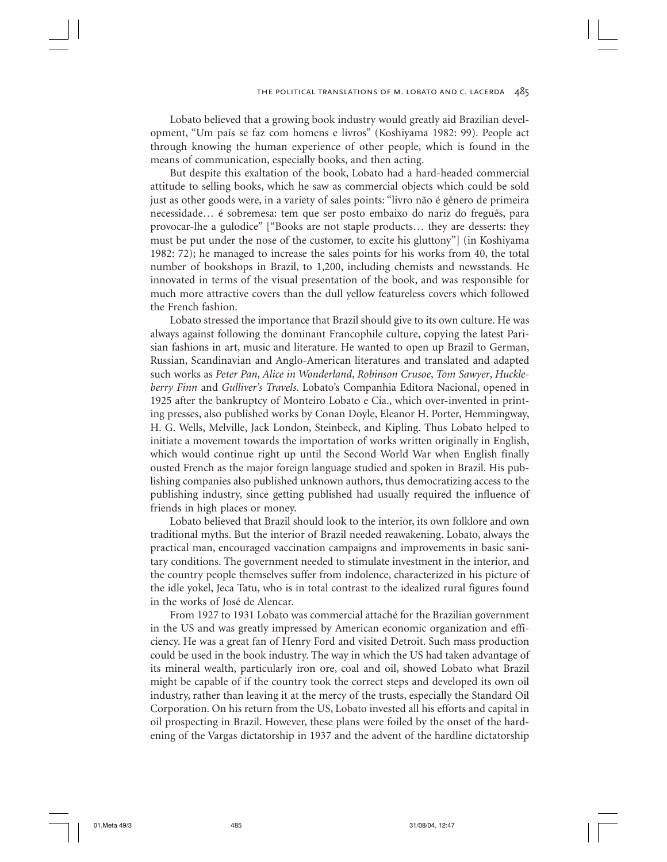Lobato believed that a growing book industry would greatly aid Brazilian development, "Um país se faz com homens e livros" (Koshiyama 1982: 99). People act through knowing the human experience of other people, which is found in the means of communication, especially books, and then acting.

But despite this exaltation of the book, Lobato had a hard-headed commercial attitude to selling books, which he saw as commercial objects which could be sold just as other goods were, in a variety of sales points: "livro não é gênero de primeira necessidade… é sobremesa: tem que ser posto embaixo do nariz do freguês, para provocar-lhe a gulodice" ["Books are not staple products… they are desserts: they must be put under the nose of the customer, to excite his gluttony"] (in Koshiyama 1982: 72); he managed to increase the sales points for his works from 40, the total number of bookshops in Brazil, to 1,200, including chemists and newsstands. He innovated in terms of the visual presentation of the book, and was responsible for much more attractive covers than the dull yellow featureless covers which followed the French fashion.

Lobato stressed the importance that Brazil should give to its own culture. He was always against following the dominant Francophile culture, copying the latest Parisian fashions in art, music and literature. He wanted to open up Brazil to German, Russian, Scandinavian and Anglo-American literatures and translated and adapted such works as *Peter Pan*, *Alice in Wonderland*, *Robinson Crusoe*, *Tom Sawyer*, *Huckleberry Finn* and *Gulliver's Travels*. Lobato's Companhia Editora Nacional, opened in 1925 after the bankruptcy of Monteiro Lobato e Cia., which over-invented in printing presses, also published works by Conan Doyle, Eleanor H. Porter, Hemmingway, H. G. Wells, Melville, Jack London, Steinbeck, and Kipling. Thus Lobato helped to initiate a movement towards the importation of works written originally in English, which would continue right up until the Second World War when English finally ousted French as the major foreign language studied and spoken in Brazil. His publishing companies also published unknown authors, thus democratizing access to the publishing industry, since getting published had usually required the influence of friends in high places or money.

Lobato believed that Brazil should look to the interior, its own folklore and own traditional myths. But the interior of Brazil needed reawakening. Lobato, always the practical man, encouraged vaccination campaigns and improvements in basic sanitary conditions. The government needed to stimulate investment in the interior, and the country people themselves suffer from indolence, characterized in his picture of the idle yokel, Jeca Tatu, who is in total contrast to the idealized rural figures found in the works of José de Alencar.

From 1927 to 1931 Lobato was commercial attaché for the Brazilian government in the US and was greatly impressed by American economic organization and efficiency. He was a great fan of Henry Ford and visited Detroit. Such mass production could be used in the book industry. The way in which the US had taken advantage of its mineral wealth, particularly iron ore, coal and oil, showed Lobato what Brazil might be capable of if the country took the correct steps and developed its own oil industry, rather than leaving it at the mercy of the trusts, especially the Standard Oil Corporation. On his return from the US, Lobato invested all his efforts and capital in oil prospecting in Brazil. However, these plans were foiled by the onset of the hardening of the Vargas dictatorship in 1937 and the advent of the hardline dictatorship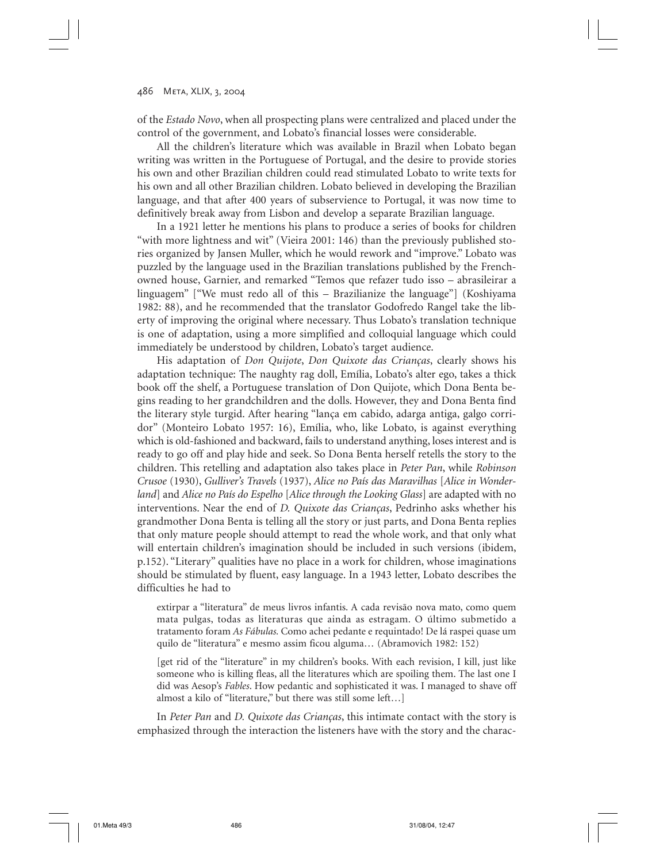of the *Estado Novo*, when all prospecting plans were centralized and placed under the control of the government, and Lobato's financial losses were considerable.

All the children's literature which was available in Brazil when Lobato began writing was written in the Portuguese of Portugal, and the desire to provide stories his own and other Brazilian children could read stimulated Lobato to write texts for his own and all other Brazilian children. Lobato believed in developing the Brazilian language, and that after 400 years of subservience to Portugal, it was now time to definitively break away from Lisbon and develop a separate Brazilian language.

In a 1921 letter he mentions his plans to produce a series of books for children "with more lightness and wit" (Vieira 2001: 146) than the previously published stories organized by Jansen Muller, which he would rework and "improve." Lobato was puzzled by the language used in the Brazilian translations published by the Frenchowned house, Garnier, and remarked "Temos que refazer tudo isso – abrasileirar a linguagem" ["We must redo all of this – Brazilianize the language"] (Koshiyama 1982: 88), and he recommended that the translator Godofredo Rangel take the liberty of improving the original where necessary. Thus Lobato's translation technique is one of adaptation, using a more simplified and colloquial language which could immediately be understood by children, Lobato's target audience.

His adaptation of *Don Quijote*, *Don Quixote das Crianças*, clearly shows his adaptation technique: The naughty rag doll, Emília, Lobato's alter ego, takes a thick book off the shelf, a Portuguese translation of Don Quijote, which Dona Benta begins reading to her grandchildren and the dolls. However, they and Dona Benta find the literary style turgid. After hearing "lança em cabido, adarga antiga, galgo corridor" (Monteiro Lobato 1957: 16), Emília, who, like Lobato, is against everything which is old-fashioned and backward, fails to understand anything, loses interest and is ready to go off and play hide and seek. So Dona Benta herself retells the story to the children. This retelling and adaptation also takes place in *Peter Pan*, while *Robinson Crusoe* (1930), *Gulliver's Travels* (1937), *Alice no País das Maravilhas* [*Alice in Wonderland*] and *Alice no País do Espelho* [*Alice through the Looking Glass*] are adapted with no interventions. Near the end of *D. Quixote das Crianças*, Pedrinho asks whether his grandmother Dona Benta is telling all the story or just parts, and Dona Benta replies that only mature people should attempt to read the whole work, and that only what will entertain children's imagination should be included in such versions (ibidem, p.152). "Literary" qualities have no place in a work for children, whose imaginations should be stimulated by fluent, easy language. In a 1943 letter, Lobato describes the difficulties he had to

extirpar a "literatura" de meus livros infantis. A cada revisão nova mato, como quem mata pulgas, todas as literaturas que ainda as estragam. O último submetido a tratamento foram *As Fábulas.* Como achei pedante e requintado! De lá raspei quase um quilo de "literatura" e mesmo assim ficou alguma… (Abramovich 1982: 152)

[get rid of the "literature" in my children's books. With each revision, I kill, just like someone who is killing fleas, all the literatures which are spoiling them. The last one I did was Aesop's *Fables*. How pedantic and sophisticated it was. I managed to shave off almost a kilo of "literature," but there was still some left…]

In *Peter Pan* and *D. Quixote das Crianças*, this intimate contact with the story is emphasized through the interaction the listeners have with the story and the charac-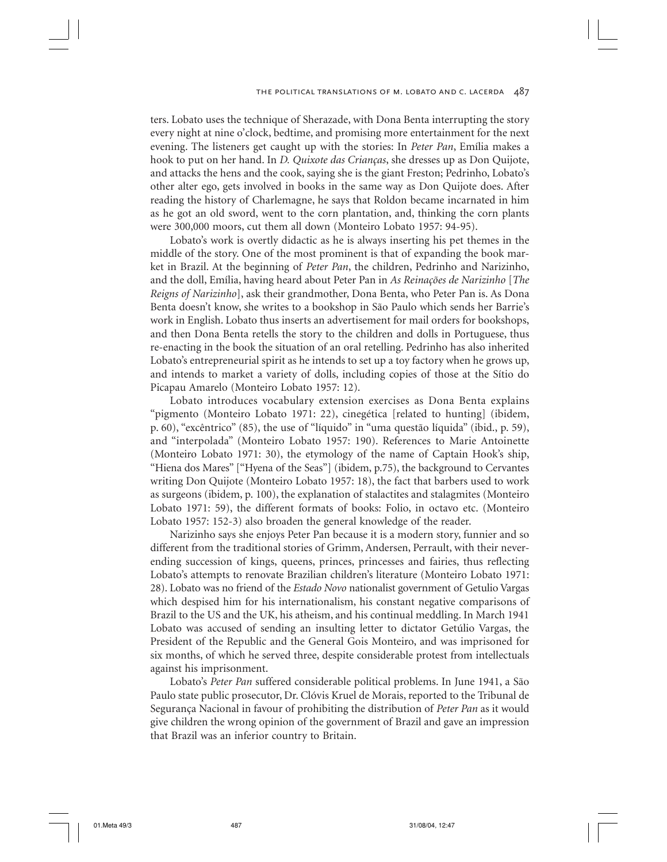ters. Lobato uses the technique of Sherazade, with Dona Benta interrupting the story every night at nine o'clock, bedtime, and promising more entertainment for the next evening. The listeners get caught up with the stories: In *Peter Pan*, Emília makes a hook to put on her hand. In *D. Quixote das Crianças*, she dresses up as Don Quijote, and attacks the hens and the cook, saying she is the giant Freston; Pedrinho, Lobato's other alter ego, gets involved in books in the same way as Don Quijote does. After reading the history of Charlemagne, he says that Roldon became incarnated in him as he got an old sword, went to the corn plantation, and, thinking the corn plants were 300,000 moors, cut them all down (Monteiro Lobato 1957: 94-95).

Lobato's work is overtly didactic as he is always inserting his pet themes in the middle of the story. One of the most prominent is that of expanding the book market in Brazil. At the beginning of *Peter Pan*, the children, Pedrinho and Narizinho, and the doll, Emília, having heard about Peter Pan in *As Reinações de Narizinho* [*The Reigns of Narizinho*], ask their grandmother, Dona Benta, who Peter Pan is. As Dona Benta doesn't know, she writes to a bookshop in São Paulo which sends her Barrie's work in English. Lobato thus inserts an advertisement for mail orders for bookshops, and then Dona Benta retells the story to the children and dolls in Portuguese, thus re-enacting in the book the situation of an oral retelling. Pedrinho has also inherited Lobato's entrepreneurial spirit as he intends to set up a toy factory when he grows up, and intends to market a variety of dolls, including copies of those at the Sítio do Picapau Amarelo (Monteiro Lobato 1957: 12).

Lobato introduces vocabulary extension exercises as Dona Benta explains "pigmento (Monteiro Lobato 1971: 22), cinegética [related to hunting] (ibidem, p. 60), "excêntrico" (85), the use of "líquido" in "uma questão líquida" (ibid., p. 59), and "interpolada" (Monteiro Lobato 1957: 190). References to Marie Antoinette (Monteiro Lobato 1971: 30), the etymology of the name of Captain Hook's ship, "Hiena dos Mares" ["Hyena of the Seas"] (ibidem, p.75), the background to Cervantes writing Don Quijote (Monteiro Lobato 1957: 18), the fact that barbers used to work as surgeons (ibidem, p. 100), the explanation of stalactites and stalagmites (Monteiro Lobato 1971: 59), the different formats of books: Folio, in octavo etc. (Monteiro Lobato 1957: 152-3) also broaden the general knowledge of the reader.

Narizinho says she enjoys Peter Pan because it is a modern story, funnier and so different from the traditional stories of Grimm, Andersen, Perrault, with their neverending succession of kings, queens, princes, princesses and fairies, thus reflecting Lobato's attempts to renovate Brazilian children's literature (Monteiro Lobato 1971: 28). Lobato was no friend of the *Estado Novo* nationalist government of Getulio Vargas which despised him for his internationalism, his constant negative comparisons of Brazil to the US and the UK, his atheism, and his continual meddling. In March 1941 Lobato was accused of sending an insulting letter to dictator Getúlio Vargas, the President of the Republic and the General Gois Monteiro, and was imprisoned for six months, of which he served three, despite considerable protest from intellectuals against his imprisonment.

Lobato's *Peter Pan* suffered considerable political problems. In June 1941, a São Paulo state public prosecutor, Dr. Clóvis Kruel de Morais, reported to the Tribunal de Segurança Nacional in favour of prohibiting the distribution of *Peter Pan* as it would give children the wrong opinion of the government of Brazil and gave an impression that Brazil was an inferior country to Britain.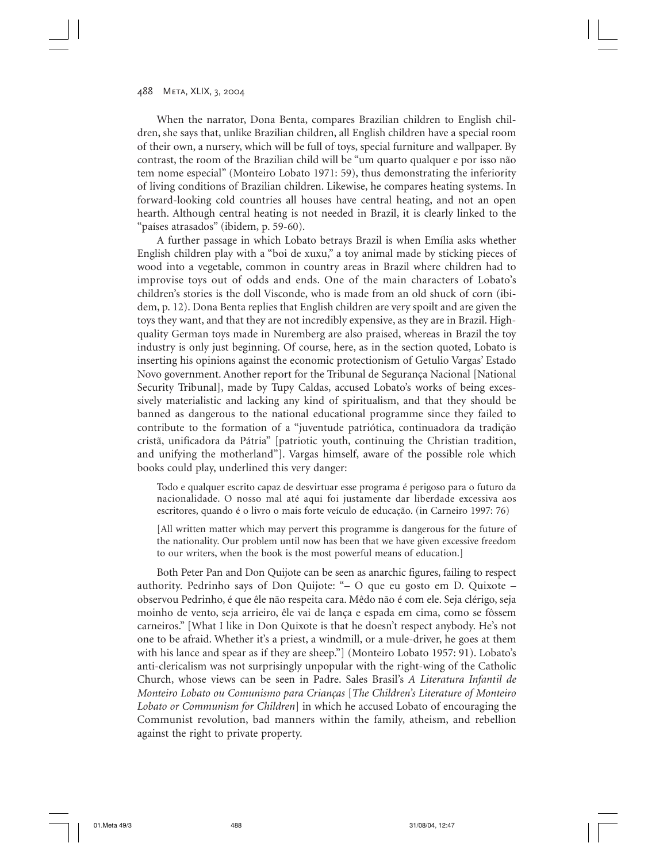When the narrator, Dona Benta, compares Brazilian children to English children, she says that, unlike Brazilian children, all English children have a special room of their own, a nursery, which will be full of toys, special furniture and wallpaper. By contrast, the room of the Brazilian child will be "um quarto qualquer e por isso não tem nome especial" (Monteiro Lobato 1971: 59), thus demonstrating the inferiority of living conditions of Brazilian children. Likewise, he compares heating systems. In forward-looking cold countries all houses have central heating, and not an open hearth. Although central heating is not needed in Brazil, it is clearly linked to the "países atrasados" (ibidem, p. 59-60).

A further passage in which Lobato betrays Brazil is when Emília asks whether English children play with a "boi de xuxu," a toy animal made by sticking pieces of wood into a vegetable, common in country areas in Brazil where children had to improvise toys out of odds and ends. One of the main characters of Lobato's children's stories is the doll Visconde, who is made from an old shuck of corn (ibidem, p. 12). Dona Benta replies that English children are very spoilt and are given the toys they want, and that they are not incredibly expensive, as they are in Brazil. Highquality German toys made in Nuremberg are also praised, whereas in Brazil the toy industry is only just beginning. Of course, here, as in the section quoted, Lobato is inserting his opinions against the economic protectionism of Getulio Vargas' Estado Novo government. Another report for the Tribunal de Segurança Nacional [National Security Tribunal], made by Tupy Caldas, accused Lobato's works of being excessively materialistic and lacking any kind of spiritualism, and that they should be banned as dangerous to the national educational programme since they failed to contribute to the formation of a "juventude patriótica, continuadora da tradição cristã, unificadora da Pátria" [patriotic youth, continuing the Christian tradition, and unifying the motherland"]. Vargas himself, aware of the possible role which books could play, underlined this very danger:

Todo e qualquer escrito capaz de desvirtuar esse programa é perigoso para o futuro da nacionalidade. O nosso mal até aqui foi justamente dar liberdade excessiva aos escritores, quando é o livro o mais forte veículo de educação. (in Carneiro 1997: 76)

[All written matter which may pervert this programme is dangerous for the future of the nationality. Our problem until now has been that we have given excessive freedom to our writers, when the book is the most powerful means of education.]

Both Peter Pan and Don Quijote can be seen as anarchic figures, failing to respect authority. Pedrinho says of Don Quijote: "– O que eu gosto em D. Quixote – observou Pedrinho, é que êle não respeita cara. Mêdo não é com ele. Seja clérigo, seja moinho de vento, seja arrieiro, êle vai de lança e espada em cima, como se fôssem carneiros." [What I like in Don Quixote is that he doesn't respect anybody. He's not one to be afraid. Whether it's a priest, a windmill, or a mule-driver, he goes at them with his lance and spear as if they are sheep."] (Monteiro Lobato 1957: 91). Lobato's anti-clericalism was not surprisingly unpopular with the right-wing of the Catholic Church, whose views can be seen in Padre. Sales Brasil's *A Literatura Infantil de Monteiro Lobato ou Comunismo para Crianças* [*The Children's Literature of Monteiro Lobato or Communism for Children*] in which he accused Lobato of encouraging the Communist revolution, bad manners within the family, atheism, and rebellion against the right to private property.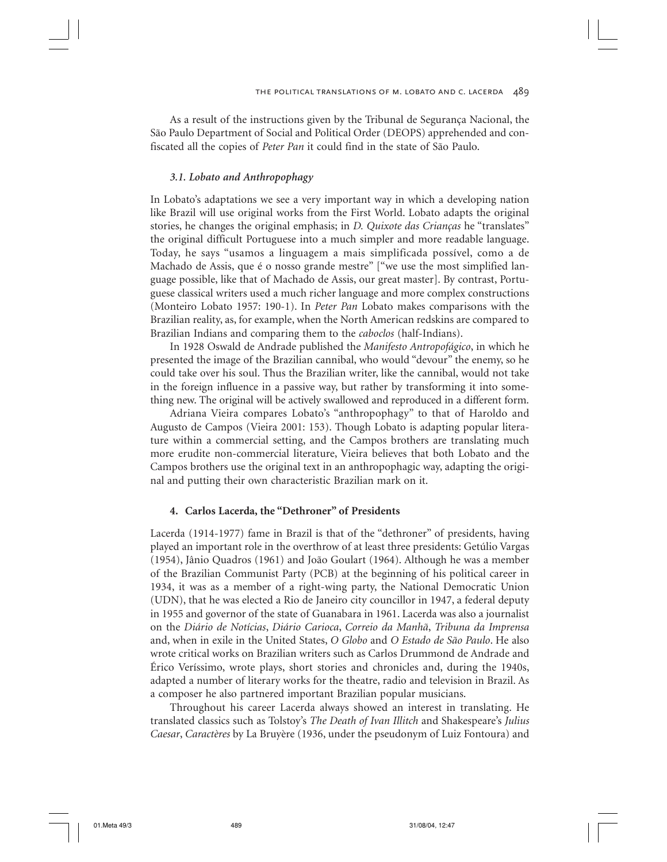As a result of the instructions given by the Tribunal de Segurança Nacional, the São Paulo Department of Social and Political Order (DEOPS) apprehended and confiscated all the copies of *Peter Pan* it could find in the state of São Paulo.

#### *3.1. Lobato and Anthropophagy*

In Lobato's adaptations we see a very important way in which a developing nation like Brazil will use original works from the First World. Lobato adapts the original stories, he changes the original emphasis; in *D. Quixote das Crianças* he "translates" the original difficult Portuguese into a much simpler and more readable language. Today, he says "usamos a linguagem a mais simplificada possível, como a de Machado de Assis, que é o nosso grande mestre" ["we use the most simplified language possible, like that of Machado de Assis, our great master]. By contrast, Portuguese classical writers used a much richer language and more complex constructions (Monteiro Lobato 1957: 190-1). In *Peter Pan* Lobato makes comparisons with the Brazilian reality, as, for example, when the North American redskins are compared to Brazilian Indians and comparing them to the *caboclos* (half-Indians).

In 1928 Oswald de Andrade published the *Manifesto Antropofágico*, in which he presented the image of the Brazilian cannibal, who would "devour" the enemy, so he could take over his soul. Thus the Brazilian writer, like the cannibal, would not take in the foreign influence in a passive way, but rather by transforming it into something new. The original will be actively swallowed and reproduced in a different form.

Adriana Vieira compares Lobato's "anthropophagy" to that of Haroldo and Augusto de Campos (Vieira 2001: 153). Though Lobato is adapting popular literature within a commercial setting, and the Campos brothers are translating much more erudite non-commercial literature, Vieira believes that both Lobato and the Campos brothers use the original text in an anthropophagic way, adapting the original and putting their own characteristic Brazilian mark on it.

#### **4. Carlos Lacerda, the "Dethroner" of Presidents**

Lacerda (1914-1977) fame in Brazil is that of the "dethroner" of presidents, having played an important role in the overthrow of at least three presidents: Getúlio Vargas (1954), Jânio Quadros (1961) and João Goulart (1964). Although he was a member of the Brazilian Communist Party (PCB) at the beginning of his political career in 1934, it was as a member of a right-wing party, the National Democratic Union (UDN), that he was elected a Rio de Janeiro city councillor in 1947, a federal deputy in 1955 and governor of the state of Guanabara in 1961. Lacerda was also a journalist on the *Diário de Notícias*, *Diário Carioca*, *Correio da Manhã*, *Tribuna da Imprensa* and, when in exile in the United States, *O Globo* and *O Estado de São Paulo*. He also wrote critical works on Brazilian writers such as Carlos Drummond de Andrade and Érico Veríssimo, wrote plays, short stories and chronicles and, during the 1940s, adapted a number of literary works for the theatre, radio and television in Brazil. As a composer he also partnered important Brazilian popular musicians.

Throughout his career Lacerda always showed an interest in translating. He translated classics such as Tolstoy's *The Death of Ivan Illitch* and Shakespeare's *Julius Caesar*, *Caractères* by La Bruyère (1936, under the pseudonym of Luiz Fontoura) and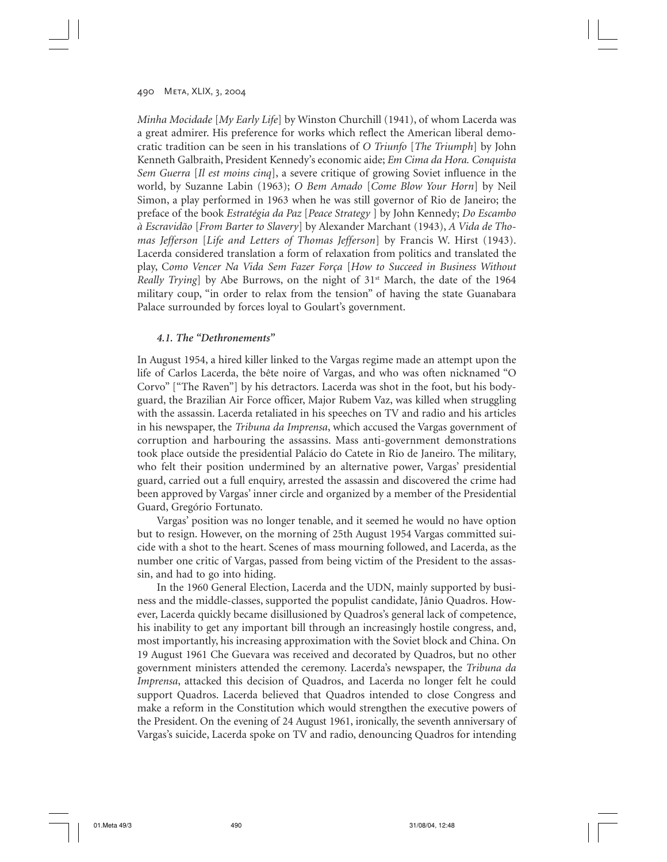*Minha Mocidade* [*My Early Life*] by Winston Churchill (1941), of whom Lacerda was a great admirer. His preference for works which reflect the American liberal democratic tradition can be seen in his translations of *O Triunfo* [*The Triumph*] by John Kenneth Galbraith, President Kennedy's economic aide; *Em Cima da Hora. Conquista Sem Guerra* [*Il est moins cinq*], a severe critique of growing Soviet influence in the world, by Suzanne Labin (1963); *O Bem Amado* [*Come Blow Your Horn*] by Neil Simon, a play performed in 1963 when he was still governor of Rio de Janeiro; the preface of the book *Estratégia da Paz* [*Peace Strategy* ] by John Kennedy; *Do Escambo à Escravidão* [*From Barter to Slavery*] by Alexander Marchant (1943), *A Vida de Thomas Jefferson* [*Life and Letters of Thomas Jefferson*] by Francis W. Hirst (1943). Lacerda considered translation a form of relaxation from politics and translated the play, C*omo Vencer Na Vida Sem Fazer Força* [*How to Succeed in Business Without Really Trying*] by Abe Burrows, on the night of 31<sup>st</sup> March, the date of the 1964 military coup, "in order to relax from the tension" of having the state Guanabara Palace surrounded by forces loyal to Goulart's government.

## *4.1. The "Dethronements"*

In August 1954, a hired killer linked to the Vargas regime made an attempt upon the life of Carlos Lacerda, the bête noire of Vargas, and who was often nicknamed "O Corvo" ["The Raven"] by his detractors. Lacerda was shot in the foot, but his bodyguard, the Brazilian Air Force officer, Major Rubem Vaz, was killed when struggling with the assassin. Lacerda retaliated in his speeches on TV and radio and his articles in his newspaper, the *Tribuna da Imprensa*, which accused the Vargas government of corruption and harbouring the assassins. Mass anti-government demonstrations took place outside the presidential Palácio do Catete in Rio de Janeiro. The military, who felt their position undermined by an alternative power, Vargas' presidential guard, carried out a full enquiry, arrested the assassin and discovered the crime had been approved by Vargas' inner circle and organized by a member of the Presidential Guard, Gregório Fortunato.

Vargas' position was no longer tenable, and it seemed he would no have option but to resign. However, on the morning of 25th August 1954 Vargas committed suicide with a shot to the heart. Scenes of mass mourning followed, and Lacerda, as the number one critic of Vargas, passed from being victim of the President to the assassin, and had to go into hiding.

In the 1960 General Election, Lacerda and the UDN, mainly supported by business and the middle-classes, supported the populist candidate, Jânio Quadros. However, Lacerda quickly became disillusioned by Quadros's general lack of competence, his inability to get any important bill through an increasingly hostile congress, and, most importantly, his increasing approximation with the Soviet block and China. On 19 August 1961 Che Guevara was received and decorated by Quadros, but no other government ministers attended the ceremony. Lacerda's newspaper, the *Tribuna da Imprensa*, attacked this decision of Quadros, and Lacerda no longer felt he could support Quadros. Lacerda believed that Quadros intended to close Congress and make a reform in the Constitution which would strengthen the executive powers of the President. On the evening of 24 August 1961, ironically, the seventh anniversary of Vargas's suicide, Lacerda spoke on TV and radio, denouncing Quadros for intending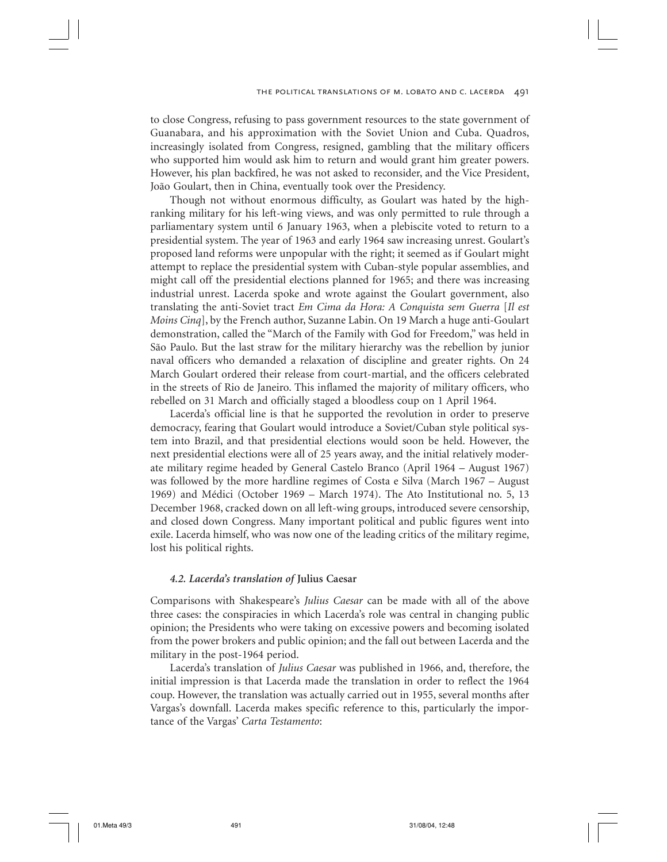to close Congress, refusing to pass government resources to the state government of Guanabara, and his approximation with the Soviet Union and Cuba. Quadros, increasingly isolated from Congress, resigned, gambling that the military officers who supported him would ask him to return and would grant him greater powers. However, his plan backfired, he was not asked to reconsider, and the Vice President, João Goulart, then in China, eventually took over the Presidency.

Though not without enormous difficulty, as Goulart was hated by the highranking military for his left-wing views, and was only permitted to rule through a parliamentary system until 6 January 1963, when a plebiscite voted to return to a presidential system. The year of 1963 and early 1964 saw increasing unrest. Goulart's proposed land reforms were unpopular with the right; it seemed as if Goulart might attempt to replace the presidential system with Cuban-style popular assemblies, and might call off the presidential elections planned for 1965; and there was increasing industrial unrest. Lacerda spoke and wrote against the Goulart government, also translating the anti-Soviet tract *Em Cima da Hora: A Conquista sem Guerra* [*Il est Moins Cinq*], by the French author, Suzanne Labin. On 19 March a huge anti-Goulart demonstration, called the "March of the Family with God for Freedom," was held in São Paulo. But the last straw for the military hierarchy was the rebellion by junior naval officers who demanded a relaxation of discipline and greater rights. On 24 March Goulart ordered their release from court-martial, and the officers celebrated in the streets of Rio de Janeiro. This inflamed the majority of military officers, who rebelled on 31 March and officially staged a bloodless coup on 1 April 1964.

Lacerda's official line is that he supported the revolution in order to preserve democracy, fearing that Goulart would introduce a Soviet/Cuban style political system into Brazil, and that presidential elections would soon be held. However, the next presidential elections were all of 25 years away, and the initial relatively moderate military regime headed by General Castelo Branco (April 1964 – August 1967) was followed by the more hardline regimes of Costa e Silva (March 1967 – August 1969) and Médici (October 1969 – March 1974). The Ato Institutional no. 5, 13 December 1968, cracked down on all left-wing groups, introduced severe censorship, and closed down Congress. Many important political and public figures went into exile. Lacerda himself, who was now one of the leading critics of the military regime, lost his political rights.

#### *4.2. Lacerda's translation of* **Julius Caesar**

Comparisons with Shakespeare's *Julius Caesar* can be made with all of the above three cases: the conspiracies in which Lacerda's role was central in changing public opinion; the Presidents who were taking on excessive powers and becoming isolated from the power brokers and public opinion; and the fall out between Lacerda and the military in the post-1964 period.

Lacerda's translation of *Julius Caesar* was published in 1966, and, therefore, the initial impression is that Lacerda made the translation in order to reflect the 1964 coup. However, the translation was actually carried out in 1955, several months after Vargas's downfall. Lacerda makes specific reference to this, particularly the importance of the Vargas' *Carta Testamento*: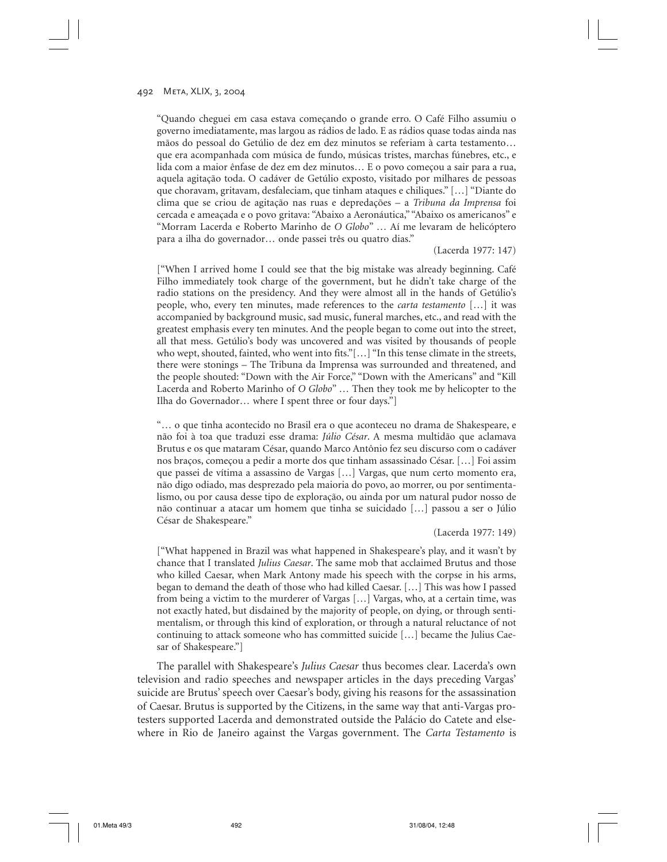"Quando cheguei em casa estava começando o grande erro. O Café Filho assumiu o governo imediatamente, mas largou as rádios de lado. E as rádios quase todas ainda nas mãos do pessoal do Getúlio de dez em dez minutos se referiam à carta testamento… que era acompanhada com música de fundo, músicas tristes, marchas fúnebres, etc., e lida com a maior ênfase de dez em dez minutos… E o povo começou a sair para a rua, aquela agitação toda. O cadáver de Getúlio exposto, visitado por milhares de pessoas que choravam, gritavam, desfaleciam, que tinham ataques e chiliques." […] "Diante do clima que se criou de agitação nas ruas e depredações – a *Tribuna da Imprensa* foi cercada e ameaçada e o povo gritava: "Abaixo a Aeronáutica," "Abaixo os americanos" e "Morram Lacerda e Roberto Marinho de *O Globo*" … Aí me levaram de helicóptero para a ilha do governador… onde passei três ou quatro dias."

(Lacerda 1977: 147)

["When I arrived home I could see that the big mistake was already beginning. Café Filho immediately took charge of the government, but he didn't take charge of the radio stations on the presidency. And they were almost all in the hands of Getúlio's people, who, every ten minutes, made references to the *carta testamento* […] it was accompanied by background music, sad music, funeral marches, etc., and read with the greatest emphasis every ten minutes. And the people began to come out into the street, all that mess. Getúlio's body was uncovered and was visited by thousands of people who wept, shouted, fainted, who went into fits."[...] "In this tense climate in the streets, there were stonings – The Tribuna da Imprensa was surrounded and threatened, and the people shouted: "Down with the Air Force," "Down with the Americans" and "Kill Lacerda and Roberto Marinho of *O Globo*" … Then they took me by helicopter to the Ilha do Governador… where I spent three or four days."]

"… o que tinha acontecido no Brasil era o que aconteceu no drama de Shakespeare, e não foi à toa que traduzi esse drama: *Júlio César*. A mesma multidão que aclamava Brutus e os que mataram César, quando Marco Antônio fez seu discurso com o cadáver nos braços, começou a pedir a morte dos que tinham assassinado César. […] Foi assim que passei de vítima a assassino de Vargas […] Vargas, que num certo momento era, não digo odiado, mas desprezado pela maioria do povo, ao morrer, ou por sentimentalismo, ou por causa desse tipo de exploração, ou ainda por um natural pudor nosso de não continuar a atacar um homem que tinha se suicidado […] passou a ser o Júlio César de Shakespeare."

(Lacerda 1977: 149)

["What happened in Brazil was what happened in Shakespeare's play, and it wasn't by chance that I translated *Julius Caesar*. The same mob that acclaimed Brutus and those who killed Caesar, when Mark Antony made his speech with the corpse in his arms, began to demand the death of those who had killed Caesar. […] This was how I passed from being a victim to the murderer of Vargas […] Vargas, who, at a certain time, was not exactly hated, but disdained by the majority of people, on dying, or through sentimentalism, or through this kind of exploration, or through a natural reluctance of not continuing to attack someone who has committed suicide […] became the Julius Caesar of Shakespeare."]

The parallel with Shakespeare's *Julius Caesar* thus becomes clear. Lacerda's own television and radio speeches and newspaper articles in the days preceding Vargas' suicide are Brutus' speech over Caesar's body, giving his reasons for the assassination of Caesar. Brutus is supported by the Citizens, in the same way that anti-Vargas protesters supported Lacerda and demonstrated outside the Palácio do Catete and elsewhere in Rio de Janeiro against the Vargas government. The *Carta Testamento* is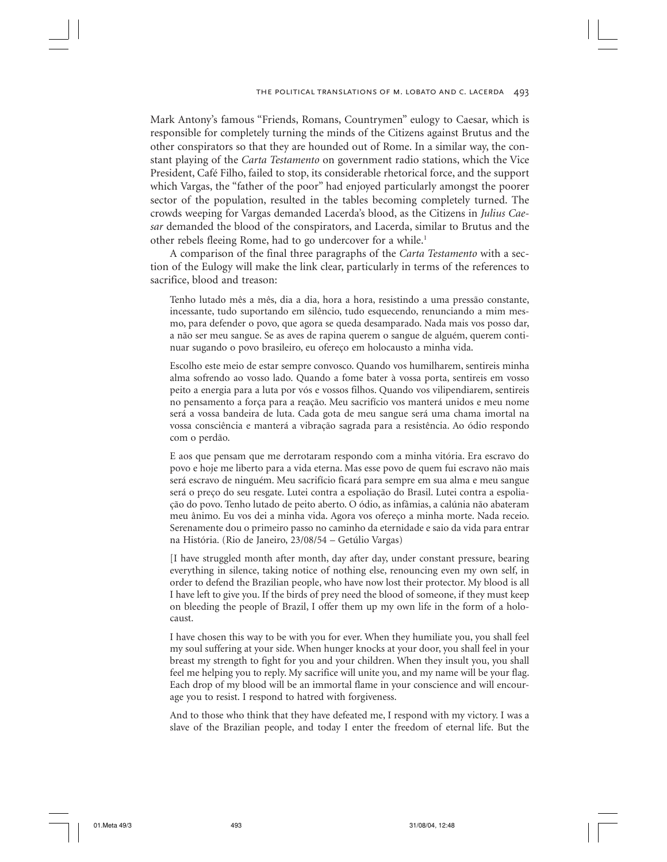Mark Antony's famous "Friends, Romans, Countrymen" eulogy to Caesar, which is responsible for completely turning the minds of the Citizens against Brutus and the other conspirators so that they are hounded out of Rome. In a similar way, the constant playing of the *Carta Testamento* on government radio stations, which the Vice President, Café Filho, failed to stop, its considerable rhetorical force, and the support which Vargas, the "father of the poor" had enjoyed particularly amongst the poorer sector of the population, resulted in the tables becoming completely turned. The crowds weeping for Vargas demanded Lacerda's blood, as the Citizens in *Julius Caesar* demanded the blood of the conspirators, and Lacerda, similar to Brutus and the other rebels fleeing Rome, had to go undercover for a while.<sup>1</sup>

A comparison of the final three paragraphs of the *Carta Testamento* with a section of the Eulogy will make the link clear, particularly in terms of the references to sacrifice, blood and treason:

Tenho lutado mês a mês, dia a dia, hora a hora, resistindo a uma pressão constante, incessante, tudo suportando em silêncio, tudo esquecendo, renunciando a mim mesmo, para defender o povo, que agora se queda desamparado. Nada mais vos posso dar, a não ser meu sangue. Se as aves de rapina querem o sangue de alguém, querem continuar sugando o povo brasileiro, eu ofereço em holocausto a minha vida.

Escolho este meio de estar sempre convosco. Quando vos humilharem, sentireis minha alma sofrendo ao vosso lado. Quando a fome bater à vossa porta, sentireis em vosso peito a energia para a luta por vós e vossos filhos. Quando vos vilipendiarem, sentireis no pensamento a força para a reação. Meu sacrifício vos manterá unidos e meu nome será a vossa bandeira de luta. Cada gota de meu sangue será uma chama imortal na vossa consciência e manterá a vibração sagrada para a resistência. Ao ódio respondo com o perdão.

E aos que pensam que me derrotaram respondo com a minha vitória. Era escravo do povo e hoje me liberto para a vida eterna. Mas esse povo de quem fui escravo não mais será escravo de ninguém. Meu sacrifício ficará para sempre em sua alma e meu sangue será o preço do seu resgate. Lutei contra a espoliação do Brasil. Lutei contra a espoliação do povo. Tenho lutado de peito aberto. O ódio, as infâmias, a calúnia não abateram meu ânimo. Eu vos dei a minha vida. Agora vos ofereço a minha morte. Nada receio. Serenamente dou o primeiro passo no caminho da eternidade e saio da vida para entrar na História. (Rio de Janeiro, 23/08/54 – Getúlio Vargas)

[I have struggled month after month, day after day, under constant pressure, bearing everything in silence, taking notice of nothing else, renouncing even my own self, in order to defend the Brazilian people, who have now lost their protector. My blood is all I have left to give you. If the birds of prey need the blood of someone, if they must keep on bleeding the people of Brazil, I offer them up my own life in the form of a holocaust.

I have chosen this way to be with you for ever. When they humiliate you, you shall feel my soul suffering at your side. When hunger knocks at your door, you shall feel in your breast my strength to fight for you and your children. When they insult you, you shall feel me helping you to reply. My sacrifice will unite you, and my name will be your flag. Each drop of my blood will be an immortal flame in your conscience and will encourage you to resist. I respond to hatred with forgiveness.

And to those who think that they have defeated me, I respond with my victory. I was a slave of the Brazilian people, and today I enter the freedom of eternal life. But the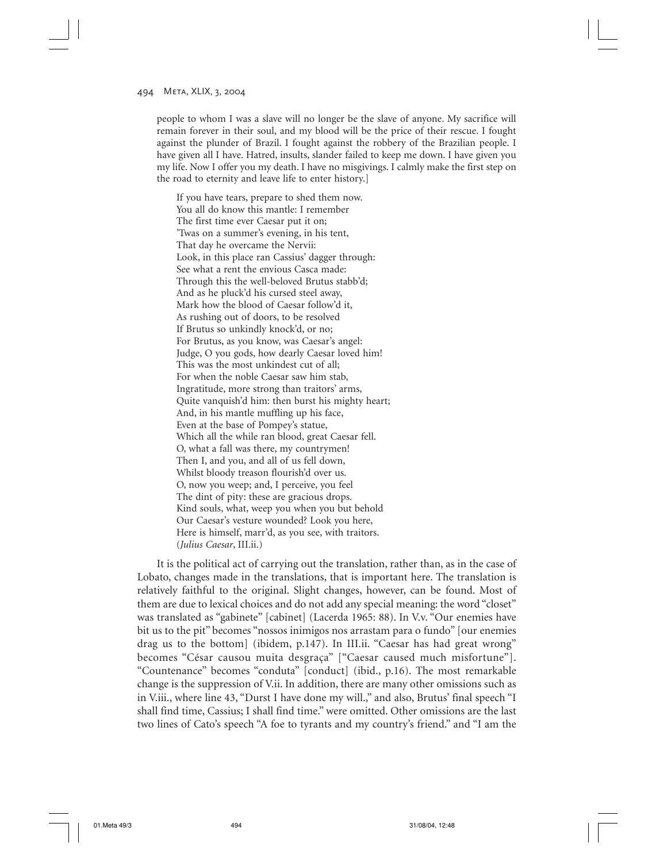people to whom I was a slave will no longer be the slave of anyone. My sacrifice will remain forever in their soul, and my blood will be the price of their rescue. I fought against the plunder of Brazil. I fought against the robbery of the Brazilian people. I have given all I have. Hatred, insults, slander failed to keep me down. I have given you my life. Now I offer you my death. I have no misgivings. I calmly make the first step on the road to eternity and leave life to enter history.]

If you have tears, prepare to shed them now. You all do know this mantle: I remember The first time ever Caesar put it on; 'Twas on a summer's evening, in his tent, That day he overcame the Nervii: Look, in this place ran Cassius' dagger through: See what a rent the envious Casca made: Through this the well-beloved Brutus stabb'd; And as he pluck'd his cursed steel away, Mark how the blood of Caesar follow'd it, As rushing out of doors, to be resolved If Brutus so unkindly knock'd, or no; For Brutus, as you know, was Caesar's angel: Judge, O you gods, how dearly Caesar loved him! This was the most unkindest cut of all; For when the noble Caesar saw him stab, Ingratitude, more strong than traitors' arms, Quite vanquish'd him: then burst his mighty heart; And, in his mantle muffling up his face, Even at the base of Pompey's statue, Which all the while ran blood, great Caesar fell. O, what a fall was there, my countrymen! Then I, and you, and all of us fell down, Whilst bloody treason flourish'd over us. O, now you weep; and, I perceive, you feel The dint of pity: these are gracious drops. Kind souls, what, weep you when you but behold Our Caesar's vesture wounded? Look you here, Here is himself, marr'd, as you see, with traitors. (*Julius Caesar*, III.ii.)

It is the political act of carrying out the translation, rather than, as in the case of Lobato, changes made in the translations, that is important here. The translation is relatively faithful to the original. Slight changes, however, can be found. Most of them are due to lexical choices and do not add any special meaning: the word "closet" was translated as "gabinete" [cabinet] (Lacerda 1965: 88). In V.v. "Our enemies have bit us to the pit" becomes "nossos inimigos nos arrastam para o fundo" [our enemies drag us to the bottom] (ibidem, p.147). In III.ii. "Caesar has had great wrong" becomes "César causou muita desgraça" ["Caesar caused much misfortune"]. "Countenance" becomes "conduta" [conduct] (ibid., p.16). The most remarkable change is the suppression of V.ii. In addition, there are many other omissions such as in V.iii., where line 43, "Durst I have done my will.," and also, Brutus' final speech "I shall find time, Cassius; I shall find time." were omitted. Other omissions are the last two lines of Cato's speech "A foe to tyrants and my country's friend." and "I am the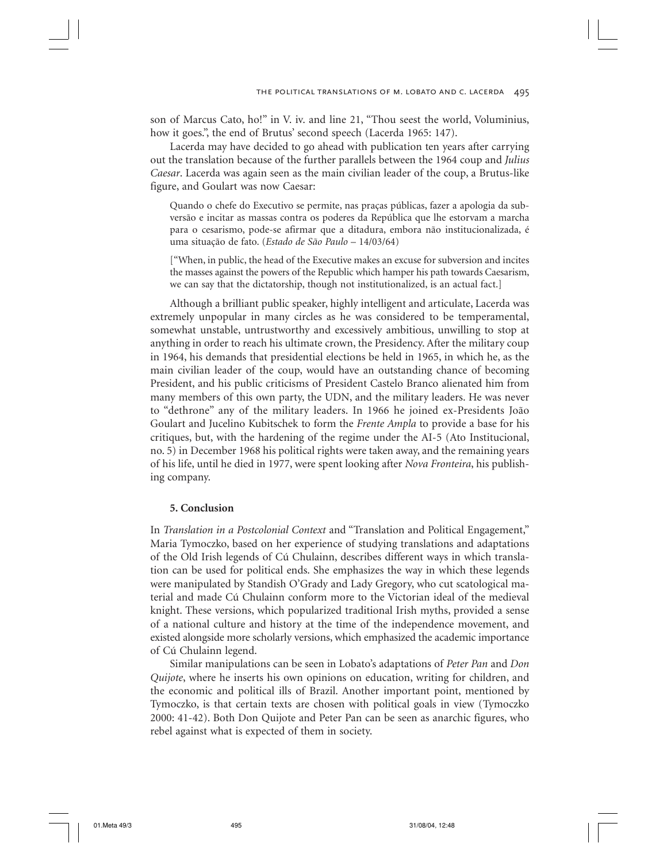son of Marcus Cato, ho!" in V. iv. and line 21, "Thou seest the world, Voluminius, how it goes.", the end of Brutus' second speech (Lacerda 1965: 147).

Lacerda may have decided to go ahead with publication ten years after carrying out the translation because of the further parallels between the 1964 coup and *Julius Caesar*. Lacerda was again seen as the main civilian leader of the coup, a Brutus-like figure, and Goulart was now Caesar:

Quando o chefe do Executivo se permite, nas praças públicas, fazer a apologia da subversão e incitar as massas contra os poderes da República que lhe estorvam a marcha para o cesarismo, pode-se afirmar que a ditadura, embora não institucionalizada, é uma situação de fato. (*Estado de São Paulo* – 14/03/64)

["When, in public, the head of the Executive makes an excuse for subversion and incites the masses against the powers of the Republic which hamper his path towards Caesarism, we can say that the dictatorship, though not institutionalized, is an actual fact.]

Although a brilliant public speaker, highly intelligent and articulate, Lacerda was extremely unpopular in many circles as he was considered to be temperamental, somewhat unstable, untrustworthy and excessively ambitious, unwilling to stop at anything in order to reach his ultimate crown, the Presidency. After the military coup in 1964, his demands that presidential elections be held in 1965, in which he, as the main civilian leader of the coup, would have an outstanding chance of becoming President, and his public criticisms of President Castelo Branco alienated him from many members of this own party, the UDN, and the military leaders. He was never to "dethrone" any of the military leaders. In 1966 he joined ex-Presidents João Goulart and Jucelino Kubitschek to form the *Frente Ampla* to provide a base for his critiques, but, with the hardening of the regime under the AI-5 (Ato Institucional, no. 5) in December 1968 his political rights were taken away, and the remaining years of his life, until he died in 1977, were spent looking after *Nova Fronteira*, his publishing company.

#### **5. Conclusion**

In *Translation in a Postcolonial Context* and "Translation and Political Engagement," Maria Tymoczko, based on her experience of studying translations and adaptations of the Old Irish legends of Cú Chulainn, describes different ways in which translation can be used for political ends. She emphasizes the way in which these legends were manipulated by Standish O'Grady and Lady Gregory, who cut scatological material and made Cú Chulainn conform more to the Victorian ideal of the medieval knight. These versions, which popularized traditional Irish myths, provided a sense of a national culture and history at the time of the independence movement, and existed alongside more scholarly versions, which emphasized the academic importance of Cú Chulainn legend.

Similar manipulations can be seen in Lobato's adaptations of *Peter Pan* and *Don Quijote*, where he inserts his own opinions on education, writing for children, and the economic and political ills of Brazil. Another important point, mentioned by Tymoczko, is that certain texts are chosen with political goals in view (Tymoczko 2000: 41-42). Both Don Quijote and Peter Pan can be seen as anarchic figures, who rebel against what is expected of them in society.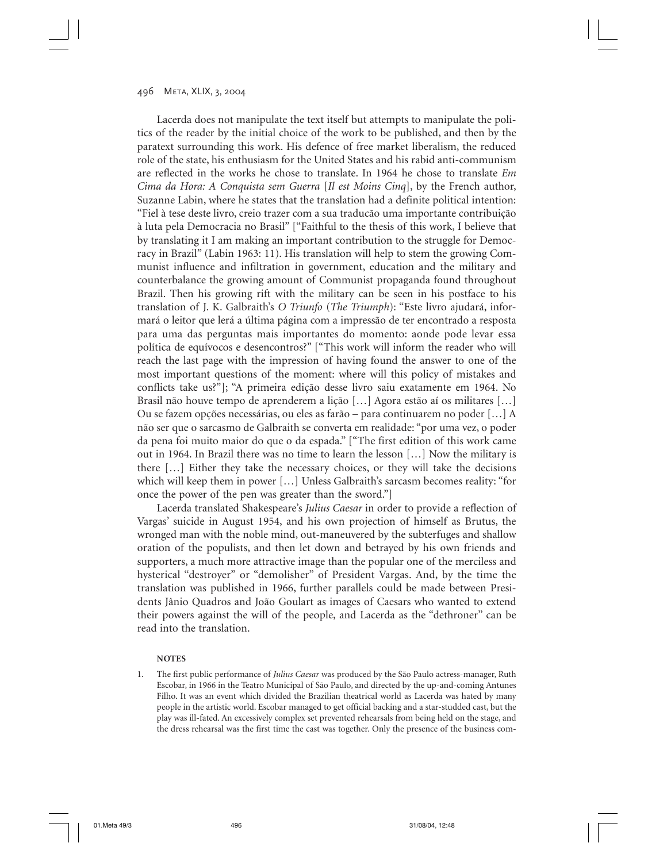Lacerda does not manipulate the text itself but attempts to manipulate the politics of the reader by the initial choice of the work to be published, and then by the paratext surrounding this work. His defence of free market liberalism, the reduced role of the state, his enthusiasm for the United States and his rabid anti-communism are reflected in the works he chose to translate. In 1964 he chose to translate *Em Cima da Hora: A Conquista sem Guerra* [*Il est Moins Cinq*], by the French author, Suzanne Labin, where he states that the translation had a definite political intention: "Fiel à tese deste livro, creio trazer com a sua traducão uma importante contribuição à luta pela Democracia no Brasil" ["Faithful to the thesis of this work, I believe that by translating it I am making an important contribution to the struggle for Democracy in Brazil" (Labin 1963: 11). His translation will help to stem the growing Communist influence and infiltration in government, education and the military and counterbalance the growing amount of Communist propaganda found throughout Brazil. Then his growing rift with the military can be seen in his postface to his translation of J. K. Galbraith's *O Triunfo* (*The Triumph*): "Este livro ajudará, informará o leitor que lerá a última página com a impressão de ter encontrado a resposta para uma das perguntas mais importantes do momento: aonde pode levar essa política de equívocos e desencontros?" ["This work will inform the reader who will reach the last page with the impression of having found the answer to one of the most important questions of the moment: where will this policy of mistakes and conflicts take us?"]; "A primeira edição desse livro saiu exatamente em 1964. No Brasil não houve tempo de aprenderem a lição […] Agora estão aí os militares […] Ou se fazem opções necessárias, ou eles as farão – para continuarem no poder […] A não ser que o sarcasmo de Galbraith se converta em realidade: "por uma vez, o poder da pena foi muito maior do que o da espada." ["The first edition of this work came out in 1964. In Brazil there was no time to learn the lesson […] Now the military is there […] Either they take the necessary choices, or they will take the decisions which will keep them in power […] Unless Galbraith's sarcasm becomes reality: "for once the power of the pen was greater than the sword."]

Lacerda translated Shakespeare's *Julius Caesar* in order to provide a reflection of Vargas' suicide in August 1954, and his own projection of himself as Brutus, the wronged man with the noble mind, out-maneuvered by the subterfuges and shallow oration of the populists, and then let down and betrayed by his own friends and supporters, a much more attractive image than the popular one of the merciless and hysterical "destroyer" or "demolisher" of President Vargas. And, by the time the translation was published in 1966, further parallels could be made between Presidents Jânio Quadros and João Goulart as images of Caesars who wanted to extend their powers against the will of the people, and Lacerda as the "dethroner" can be read into the translation.

#### **NOTES**

1. The first public performance of *Julius Caesar* was produced by the São Paulo actress-manager, Ruth Escobar, in 1966 in the Teatro Municipal of São Paulo, and directed by the up-and-coming Antunes Filho. It was an event which divided the Brazilian theatrical world as Lacerda was hated by many people in the artistic world. Escobar managed to get official backing and a star-studded cast, but the play was ill-fated. An excessively complex set prevented rehearsals from being held on the stage, and the dress rehearsal was the first time the cast was together. Only the presence of the business com